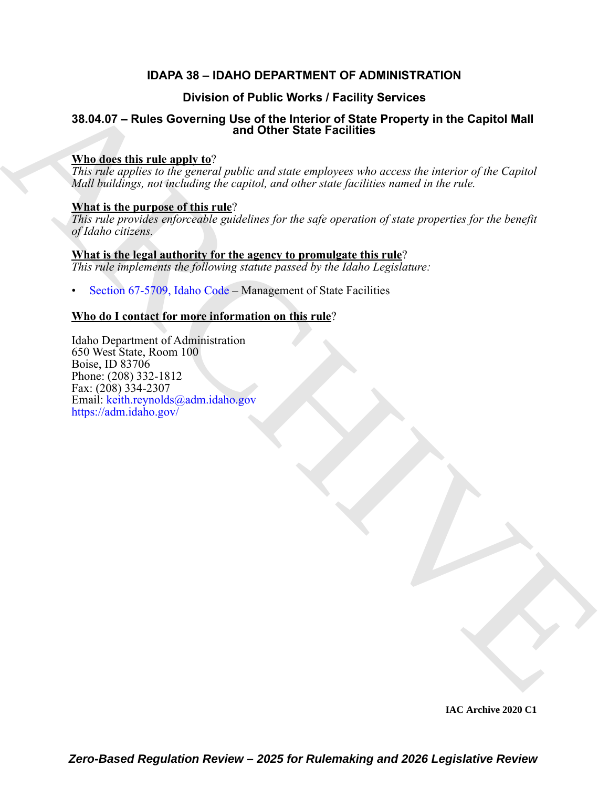### **IDAPA 38 – IDAHO DEPARTMENT OF ADMINISTRATION**

### **Division of Public Works / Facility Services**

## **38.04.07 – Rules Governing Use of the Interior of State Property in the Capitol Mall and Other State Facilities**

#### **Who does this rule apply to**?

*This rule applies to the general public and state employees who access the interior of the Capitol Mall buildings, not including the capitol, and other state facilities named in the rule.* 

#### **What is the purpose of this rule**?

*This rule provides enforceable guidelines for the safe operation of state properties for the benefit of Idaho citizens.*

#### **What is the legal authority for the agency to promulgate this rule**? *This rule implements the following statute passed by the Idaho Legislature:*

• Section 67-5709, Idaho Code – Management of State Facilities

#### **Who do I contact for more information on this rule**?

Division of Public Works I Facility Services<br>
38.04.07 – [R](https://legislature.idaho.gov/statutesrules/idstat/Title67/T67CH57/SECT67-5709/)uise Governing that of the large-to-or (State Property in the [C](mailto: keith.reynolds@adm.idaho.gov)apitol Mall<br>
What direct this results to the symmetry public and some puppers rates access the inter Idaho Department of Administration 650 West State, Room 100 Boise, ID 83706 Phone: (208) 332-1812 Fax: (208) 334-2307 Email: keith.reynolds@adm.idaho.gov https://adm.idaho.gov/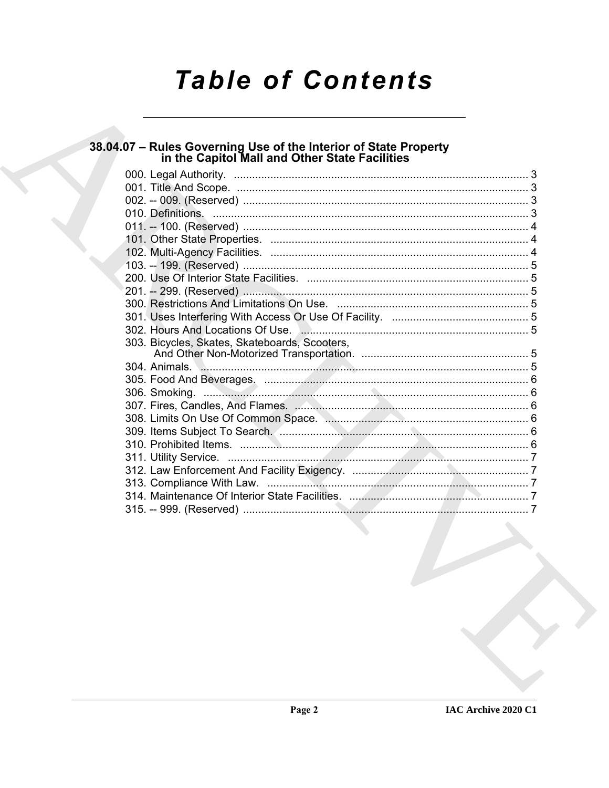# **Table of Contents**

## 38.04.07 - Rules Governing Use of the Interior of State Property<br>in the Capitol Mall and Other State Facilities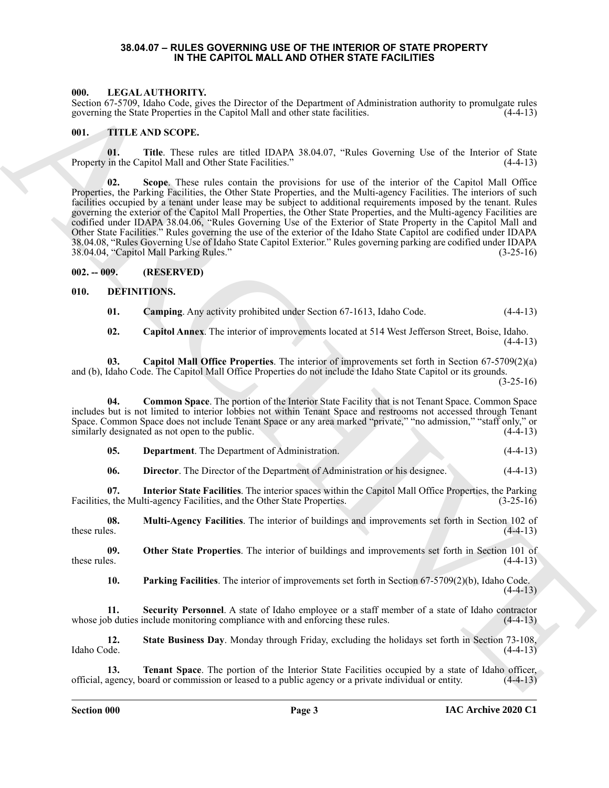#### **38.04.07 – RULES GOVERNING USE OF THE INTERIOR OF STATE PROPERTY IN THE CAPITOL MALL AND OTHER STATE FACILITIES**

#### <span id="page-2-19"></span><span id="page-2-1"></span><span id="page-2-0"></span>**000. LEGAL AUTHORITY.**

Section 67-5709, Idaho Code, gives the Director of the Department of Administration authority to promulgate rules governing the State Properties in the Capitol Mall and other state facilities. (4-4-13)

#### <span id="page-2-20"></span><span id="page-2-2"></span>**001. TITLE AND SCOPE.**

**01.** Title. These rules are titled IDAPA 38.04.07, "Rules Governing Use of the Interior of State in the Capitol Mall and Other State Facilities." (4-4-13) Property in the Capitol Mall and Other State Facilities."

600. (FACA) ARTIFORM The state is the two-set of Paysman of Administration and to two sets rates of the state of the state of the state of the state of the state of the state of the state of the state of the state of the **02. Scope**. These rules contain the provisions for use of the interior of the Capitol Mall Office Properties, the Parking Facilities, the Other State Properties, and the Multi-agency Facilities. The interiors of such facilities occupied by a tenant under lease may be subject to additional requirements imposed by the tenant. Rules governing the exterior of the Capitol Mall Properties, the Other State Properties, and the Multi-agency Facilities are codified under IDAPA 38.04.06, "Rules Governing Use of the Exterior of State Property in the Capitol Mall and Other State Facilities." Rules governing the use of the exterior of the Idaho State Capitol are codified under IDAPA 38.04.08, "Rules Governing Use of Idaho State Capitol Exterior." Rules governing parking are codified under IDAPA 38.04.04, "Capitol Mall Parking Rules." (3-25-16)

#### <span id="page-2-3"></span>**002. -- 009. (RESERVED)**

#### <span id="page-2-4"></span>**010. DEFINITIONS.**

<span id="page-2-6"></span><span id="page-2-5"></span>**01. Camping**. Any activity prohibited under Section 67-1613, Idaho Code. (4-4-13)

<span id="page-2-8"></span><span id="page-2-7"></span>**02. Capitol Annex**. The interior of improvements located at 514 West Jefferson Street, Boise, Idaho.  $(4-4-13)$ 

**03. Capitol Mall Office Properties**. The interior of improvements set forth in Section 67-5709(2)(a) and (b), Idaho Code. The Capitol Mall Office Properties do not include the Idaho State Capitol or its grounds.

 $(3-25-16)$ 

**04. Common Space**. The portion of the Interior State Facility that is not Tenant Space. Common Space includes but is not limited to interior lobbies not within Tenant Space and restrooms not accessed through Tenant Space. Common Space does not include Tenant Space or any area marked "private," "no admission," "staff only," or similarly designated as not open to the public. similarly designated as not open to the public.

<span id="page-2-10"></span><span id="page-2-9"></span>**05. Department**. The Department of Administration. (4-4-13)

<span id="page-2-13"></span><span id="page-2-12"></span><span id="page-2-11"></span>**06. Director**. The Director of the Department of Administration or his designee. (4-4-13)

**07. Interior State Facilities**. The interior spaces within the Capitol Mall Office Properties, the Parking Facilities, the Multi-agency Facilities, and the Other State Properties. (3-25-16)

**08. Multi-Agency Facilities**. The interior of buildings and improvements set forth in Section 102 of these rules.  $(4-4-13)$ 

**09. Other State Properties**. The interior of buildings and improvements set forth in Section 101 of these rules.  $(4-4-13)$ 

<span id="page-2-17"></span><span id="page-2-16"></span><span id="page-2-15"></span><span id="page-2-14"></span>**10. Parking Facilities**. The interior of improvements set forth in Section 67-5709(2)(b), Idaho Code.  $(4-4-13)$ 

**11. Security Personnel**. A state of Idaho employee or a staff member of a state of Idaho contractor whose job duties include monitoring compliance with and enforcing these rules. (4-4-13)

**12. State Business Day**. Monday through Friday, excluding the holidays set forth in Section 73-108, Idaho Code. (4-4-13)

<span id="page-2-18"></span>**13. Tenant Space**. The portion of the Interior State Facilities occupied by a state of Idaho officer, official, agency, board or commission or leased to a public agency or a private individual or entity. (4-4-13)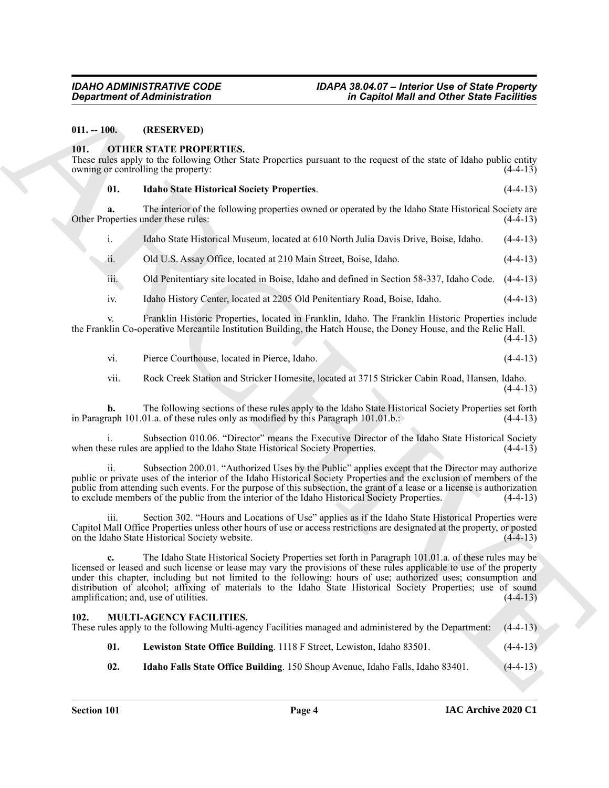<span id="page-3-0"></span>**011. -- 100. (RESERVED)**

#### <span id="page-3-6"></span><span id="page-3-1"></span>**101. OTHER STATE PROPERTIES.**

These rules apply to the following Other State Properties pursuant to the request of the state of Idaho public entity owning or controlling the property: (4-4-13)

<span id="page-3-7"></span>

| <b>Idaho State Historical Society Properties.</b> | $(4-4-13)$ |
|---------------------------------------------------|------------|
|                                                   |            |

The interior of the following properties owned or operated by the Idaho State Historical Society are under these rules: (4-4-13) Other Properties under these rules:

i. Idaho State Historical Museum, located at 610 North Julia Davis Drive, Boise, Idaho. (4-4-13)

ii. Old U.S. Assay Office, located at 210 Main Street, Boise, Idaho. (4-4-13)

iii. Old Penitentiary site located in Boise, Idaho and defined in Section 58-337, Idaho Code. (4-4-13)

iv. Idaho History Center, located at 2205 Old Penitentiary Road, Boise, Idaho. (4-4-13)

Franklin Historic Properties, located in Franklin, Idaho. The Franklin Historic Properties include the Franklin Co-operative Mercantile Institution Building, the Hatch House, the Doney House, and the Relic Hall.  $(4-4-13)$ 

vi. Pierce Courthouse, located in Pierce, Idaho. (4-4-13)

vii. Rock Creek Station and Stricker Homesite, located at 3715 Stricker Cabin Road, Hansen, Idaho.  $(4-4-13)$ 

**b.** The following sections of these rules apply to the Idaho State Historical Society Properties set forth apply 101.01.0... (4-4-13) in Paragraph 101.01.a. of these rules only as modified by this Paragraph  $101.01$ .b.:

Subsection 010.06. "Director" means the Executive Director of the Idaho State Historical Society when these rules are applied to the Idaho State Historical Society Properties. (4-4-13)

ii. Subsection 200.01. "Authorized Uses by the Public" applies except that the Director may authorize public or private uses of the interior of the Idaho Historical Society Properties and the exclusion of members of the public from attending such events. For the purpose of this subsection, the grant of a lease or a license is authorization to exclude members of the public from the interior of the Idaho Historical Society Properties. (4-4-13)

iii. Section 302. "Hours and Locations of Use" applies as if the Idaho State Historical Properties were Capitol Mall Office Properties unless other hours of use or access restrictions are designated at the property, or posted on the Idaho State Historical Society website. (4-4-13)

Gegardment of Administration<br>
11. 100. (IRENESTATE PROPERTIES:<br>
11. 100. (IRENESTATE PROPERTIES:<br>
11. 100. (IRENESTATE PROPERTIES:<br>
11. 100. IRENESTATE PROPERTIES:<br>
11. 100. IRENESTATE PROPERTIES:<br>
11. 100. IRENESTATE PRO **c.** The Idaho State Historical Society Properties set forth in Paragraph 101.01.a. of these rules may be licensed or leased and such license or lease may vary the provisions of these rules applicable to use of the property under this chapter, including but not limited to the following: hours of use; authorized uses; consumption and distribution of alcohol; affixing of materials to the Idaho State Historical Society Properties; use of sound amplification; and, use of utilities. amplification; and, use of utilities.

#### <span id="page-3-3"></span><span id="page-3-2"></span>**102. MULTI-AGENCY FACILITIES.**

| These rules apply to the following Multi-agency Facilities managed and administered by the Department: (4-4-13) |  |
|-----------------------------------------------------------------------------------------------------------------|--|
|-----------------------------------------------------------------------------------------------------------------|--|

- <span id="page-3-5"></span>**01. Lewiston State Office Building**. 1118 F Street, Lewiston, Idaho 83501. (4-4-13)
- <span id="page-3-4"></span>**02. Idaho Falls State Office Building**. 150 Shoup Avenue, Idaho Falls, Idaho 83401. (4-4-13)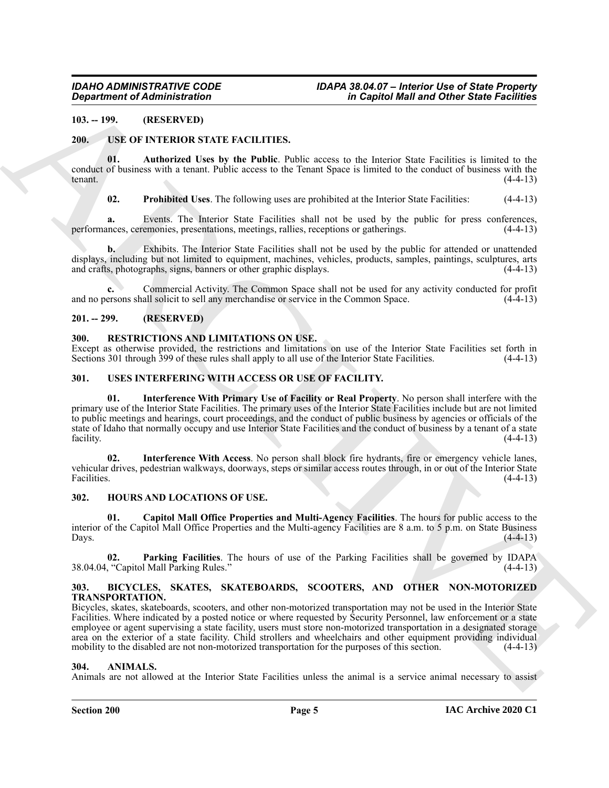#### <span id="page-4-0"></span>**103. -- 199. (RESERVED)**

#### <span id="page-4-14"></span><span id="page-4-1"></span>**200. USE OF INTERIOR STATE FACILITIES.**

**01. Authorized Uses by the Public**. Public access to the Interior State Facilities is limited to the conduct of business with a tenant. Public access to the Tenant Space is limited to the conduct of business with the tenant.  $(4-4-13)$ 

<span id="page-4-16"></span><span id="page-4-15"></span>**02. Prohibited Uses**. The following uses are prohibited at the Interior State Facilities: (4-4-13)

**a.** Events. The Interior State Facilities shall not be used by the public for press conferences, performances, ceremonies, presentations, meetings, rallies, receptions or gatherings. (4-4-13)

**b.** Exhibits. The Interior State Facilities shall not be used by the public for attended or unattended displays, including but not limited to equipment, machines, vehicles, products, samples, paintings, sculptures, arts and crafts, photographs, signs, banners or other graphic displays. (4-4-13) and crafts, photographs, signs, banners or other graphic displays.

**c.** Commercial Activity. The Common Space shall not be used for any activity conducted for profit and no persons shall solicit to sell any merchandise or service in the Common Space. (4-4-13)

#### <span id="page-4-2"></span>**201. -- 299. (RESERVED)**

#### <span id="page-4-13"></span><span id="page-4-3"></span>**300. RESTRICTIONS AND LIMITATIONS ON USE.**

Except as otherwise provided, the restrictions and limitations on use of the Interior State Facilities set forth in Sections 301 through 399 of these rules shall apply to all use of the Interior State Facilities. (4-4-13)

#### <span id="page-4-19"></span><span id="page-4-17"></span><span id="page-4-4"></span>**301. USES INTERFERING WITH ACCESS OR USE OF FACILITY.**

Government of Administration<br>
19. 1992. The USE MOVEM CONTRACT CONTRACT CONTRACT CONTRACT CONTRACT CONTRACT CONTRACT CONTRACT CONTRACT CONTRACT CONTRACT CONTRACT CONTRACT CONTRACT CONTRACT CONTRACT CONTRACT CONTRACT CONTR **01. Interference With Primary Use of Facility or Real Property**. No person shall interfere with the primary use of the Interior State Facilities. The primary uses of the Interior State Facilities include but are not limited to public meetings and hearings, court proceedings, and the conduct of public business by agencies or officials of the state of Idaho that normally occupy and use Interior State Facilities and the conduct of business by a tenant of a state facility. (4-4-13)

<span id="page-4-18"></span>**02. Interference With Access**. No person shall block fire hydrants, fire or emergency vehicle lanes, vehicular drives, pedestrian walkways, doorways, steps or similar access routes through, in or out of the Interior State Facilities. (4-4-13)

#### <span id="page-4-10"></span><span id="page-4-5"></span>**302. HOURS AND LOCATIONS OF USE.**

<span id="page-4-11"></span>**01. Capitol Mall Office Properties and Multi-Agency Facilities**. The hours for public access to the interior of the Capitol Mall Office Properties and the Multi-agency Facilities are 8 a.m. to 5 p.m. on State Business  $\Box$  Days.  $(4-4-13)$ 

<span id="page-4-12"></span>**02. Parking Facilities**. The hours of use of the Parking Facilities shall be governed by IDAPA 38.04.04, "Capitol Mall Parking Rules."

#### <span id="page-4-9"></span><span id="page-4-6"></span>**303. BICYCLES, SKATES, SKATEBOARDS, SCOOTERS, AND OTHER NON-MOTORIZED TRANSPORTATION.**

Bicycles, skates, skateboards, scooters, and other non-motorized transportation may not be used in the Interior State Facilities. Where indicated by a posted notice or where requested by Security Personnel, law enforcement or a state employee or agent supervising a state facility, users must store non-motorized transportation in a designated storage area on the exterior of a state facility. Child strollers and wheelchairs and other equipment providing individual mobility to the disabled are not non-motorized transportation for the purposes of this section.  $(4-4-13)$ 

#### <span id="page-4-8"></span><span id="page-4-7"></span>**304. ANIMALS.**

Animals are not allowed at the Interior State Facilities unless the animal is a service animal necessary to assist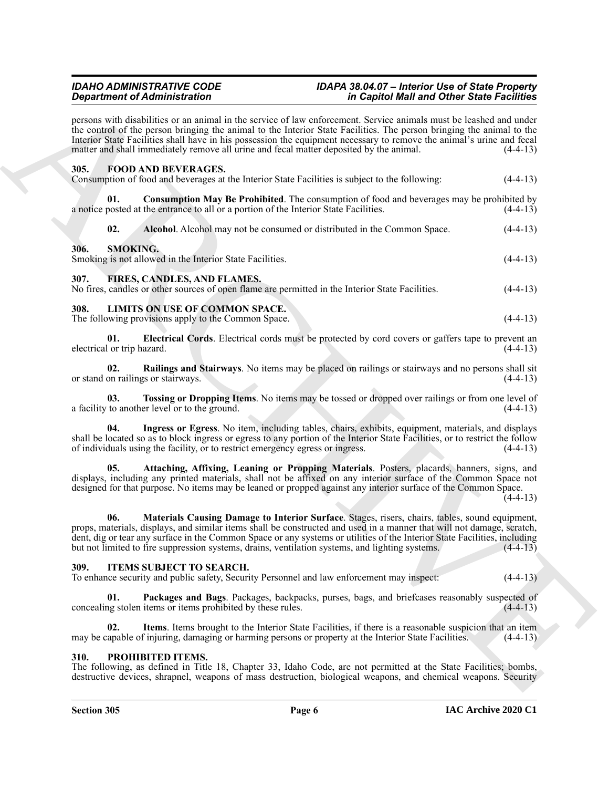#### <span id="page-5-21"></span><span id="page-5-13"></span><span id="page-5-9"></span><span id="page-5-8"></span><span id="page-5-7"></span><span id="page-5-6"></span><span id="page-5-3"></span><span id="page-5-2"></span><span id="page-5-1"></span><span id="page-5-0"></span>*IDAHO ADMINISTRATIVE CODE IDAPA 38.04.07 – Interior Use of State Property in Capitol Mall and Other State Facilities*

| <b>Department of Administration</b><br>matter and shall immediately remove all urine and fecal matter deposited by the animal. |                                                                                                                                 |                                                                                                                                                                                                                                                                                                                                                                                                                                                          | in Capitol Mall and Other State Facilities |  |
|--------------------------------------------------------------------------------------------------------------------------------|---------------------------------------------------------------------------------------------------------------------------------|----------------------------------------------------------------------------------------------------------------------------------------------------------------------------------------------------------------------------------------------------------------------------------------------------------------------------------------------------------------------------------------------------------------------------------------------------------|--------------------------------------------|--|
|                                                                                                                                |                                                                                                                                 | persons with disabilities or an animal in the service of law enforcement. Service animals must be leashed and under<br>the control of the person bringing the animal to the Interior State Facilities. The person bringing the animal to the<br>Interior State Facilities shall have in his possession the equipment necessary to remove the animal's urine and fecal<br>$(4-4-13)$                                                                      |                                            |  |
| 305.                                                                                                                           | <b>FOOD AND BEVERAGES.</b>                                                                                                      | Consumption of food and beverages at the Interior State Facilities is subject to the following:                                                                                                                                                                                                                                                                                                                                                          | $(4-4-13)$                                 |  |
| 01.                                                                                                                            | a notice posted at the entrance to all or a portion of the Interior State Facilities.                                           | <b>Consumption May Be Prohibited.</b> The consumption of food and beverages may be prohibited by                                                                                                                                                                                                                                                                                                                                                         | $(4-4-13)$                                 |  |
| 02.                                                                                                                            |                                                                                                                                 | Alcohol. Alcohol may not be consumed or distributed in the Common Space.                                                                                                                                                                                                                                                                                                                                                                                 | $(4-4-13)$                                 |  |
| 306.                                                                                                                           | <b>SMOKING.</b><br>Smoking is not allowed in the Interior State Facilities.                                                     |                                                                                                                                                                                                                                                                                                                                                                                                                                                          | $(4-4-13)$                                 |  |
| 307.                                                                                                                           | FIRES, CANDLES, AND FLAMES.<br>No fires, candles or other sources of open flame are permitted in the Interior State Facilities. |                                                                                                                                                                                                                                                                                                                                                                                                                                                          | $(4-4-13)$                                 |  |
| 308.                                                                                                                           | LIMITS ON USE OF COMMON SPACE.<br>The following provisions apply to the Common Space.                                           |                                                                                                                                                                                                                                                                                                                                                                                                                                                          | $(4-4-13)$                                 |  |
| 01.<br>electrical or trip hazard.                                                                                              |                                                                                                                                 | Electrical Cords. Electrical cords must be protected by cord covers or gaffers tape to prevent an                                                                                                                                                                                                                                                                                                                                                        | $(4-4-13)$                                 |  |
| 02.                                                                                                                            | or stand on railings or stairways.                                                                                              | Railings and Stairways. No items may be placed on railings or stairways and no persons shall sit                                                                                                                                                                                                                                                                                                                                                         | $(4-4-13)$                                 |  |
| 03.                                                                                                                            | a facility to another level or to the ground.                                                                                   | Tossing or Dropping Items. No items may be tossed or dropped over railings or from one level of                                                                                                                                                                                                                                                                                                                                                          | $(4-4-13)$                                 |  |
| 04.                                                                                                                            | of individuals using the facility, or to restrict emergency egress or ingress.                                                  | Ingress or Egress. No item, including tables, chairs, exhibits, equipment, materials, and displays<br>shall be located so as to block ingress or egress to any portion of the Interior State Facilities, or to restrict the follow                                                                                                                                                                                                                       | $(4-4-13)$                                 |  |
| 05.                                                                                                                            |                                                                                                                                 | Attaching, Affixing, Leaning or Propping Materials. Posters, placards, banners, signs, and<br>displays, including any printed materials, shall not be affixed on any interior surface of the Common Space not<br>designed for that purpose. No items may be leaned or propped against any interior surface of the Common Space.                                                                                                                          | $(4-4-13)$                                 |  |
| 06.                                                                                                                            |                                                                                                                                 | Materials Causing Damage to Interior Surface. Stages, risers, chairs, tables, sound equipment,<br>props, materials, displays, and similar items shall be constructed and used in a manner that will not damage, scratch,<br>dent, dig or tear any surface in the Common Space or any systems or utilities of the Interior State Facilities, including<br>but not limited to fire suppression systems, drains, ventilation systems, and lighting systems. | $(4-4-13)$                                 |  |
| 309.                                                                                                                           | <b>ITEMS SUBJECT TO SEARCH.</b>                                                                                                 | To enhance security and public safety, Security Personnel and law enforcement may inspect:                                                                                                                                                                                                                                                                                                                                                               | $(4-4-13)$                                 |  |
| 01.                                                                                                                            | concealing stolen items or items prohibited by these rules.                                                                     | Packages and Bags. Packages, backpacks, purses, bags, and briefcases reasonably suspected of                                                                                                                                                                                                                                                                                                                                                             | $(4-4-13)$                                 |  |
| 02.                                                                                                                            |                                                                                                                                 | Items. Items brought to the Interior State Facilities, if there is a reasonable suspicion that an item<br>may be capable of injuring, damaging or harming persons or property at the Interior State Facilities.                                                                                                                                                                                                                                          | $(4-4-13)$                                 |  |
| <b>310.</b>                                                                                                                    | PROHIBITED ITEMS.                                                                                                               | The following, as defined in Title 18, Chapter 33, Idaho Code, are not permitted at the State Facilities; bombs,<br>destructive devices, shrapnel, weapons of mass destruction, biological weapons, and chemical weapons. Security                                                                                                                                                                                                                       |                                            |  |

#### <span id="page-5-19"></span><span id="page-5-18"></span><span id="page-5-17"></span><span id="page-5-16"></span><span id="page-5-15"></span><span id="page-5-14"></span><span id="page-5-12"></span><span id="page-5-10"></span><span id="page-5-4"></span>**309. ITEMS SUBJECT TO SEARCH.**

#### <span id="page-5-20"></span><span id="page-5-11"></span><span id="page-5-5"></span>**310. PROHIBITED ITEMS.**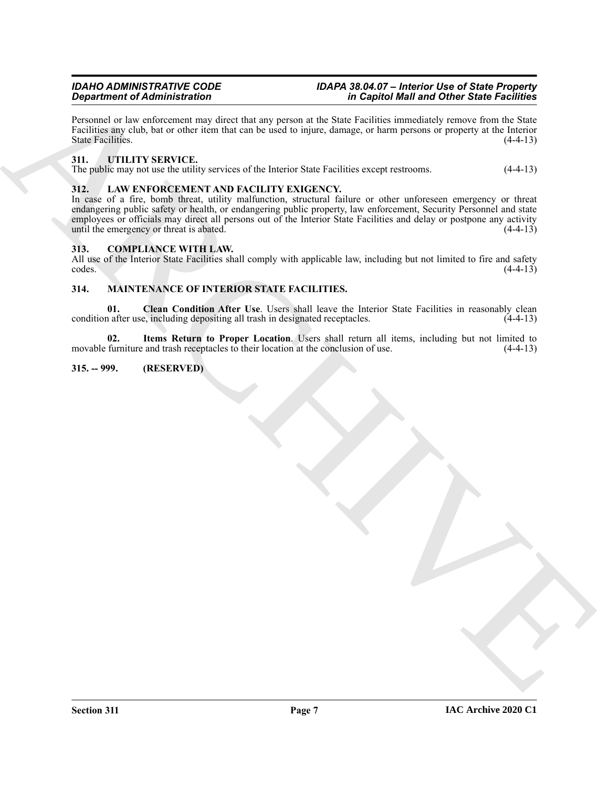Personnel or law enforcement may direct that any person at the State Facilities immediately remove from the State Facilities any club, bat or other item that can be used to injure, damage, or harm persons or property at the Interior State Facilities. (4-4-13)

#### <span id="page-6-10"></span><span id="page-6-0"></span>**311. UTILITY SERVICE.**

The public may not use the utility services of the Interior State Facilities except restrooms. (4-4-13)

#### <span id="page-6-6"></span><span id="page-6-1"></span>**312. LAW ENFORCEMENT AND FACILITY EXIGENCY.**

**Considered Columnication** in the state of the Column in the Column of the Column of the Column of the Column of the Column of the Column of the Column of the Column of the Column of the Column of the Column of the Column In case of a fire, bomb threat, utility malfunction, structural failure or other unforeseen emergency or threat endangering public safety or health, or endangering public property, law enforcement, Security Personnel and state employees or officials may direct all persons out of the Interior State Facilities and delay or postpone any activity until the emergency or threat is abated. (4-4-13)

#### <span id="page-6-5"></span><span id="page-6-2"></span>**313. COMPLIANCE WITH LAW.**

All use of the Interior State Facilities shall comply with applicable law, including but not limited to fire and safety codes. (4-4-13)  $\csc$  codes.  $(4-4-13)$ 

#### <span id="page-6-7"></span><span id="page-6-3"></span>**314. MAINTENANCE OF INTERIOR STATE FACILITIES.**

<span id="page-6-8"></span>**01.** Clean Condition After Use. Users shall leave the Interior State Facilities in reasonably clean condition after use, including depositing all trash in designated receptacles. (4-4-13)

<span id="page-6-9"></span>**02. Items Return to Proper Location**. Users shall return all items, including but not limited to movable furniture and trash receptacles to their location at the conclusion of use.  $(4-4-13)$ 

#### <span id="page-6-4"></span>**315. -- 999. (RESERVED)**